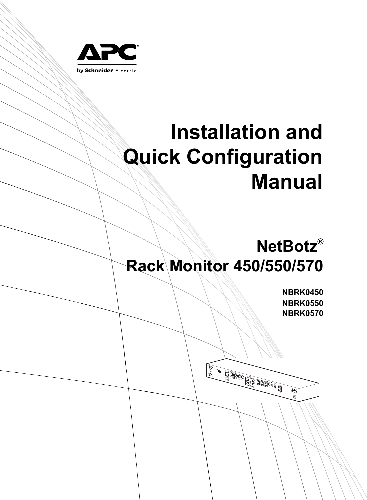

# **Installation and Quick Configuration Manual**

## **NetBotz® Rack Monitor 450/550/570**

**COMMANDED COLORED STATE** 

**NBRK0450 NBRK0550 NBRK0570**

 $\widetilde{\mathbf{v}}$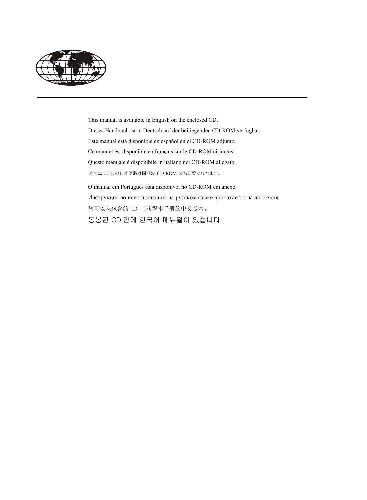

This manual is available in English on the enclosed CD. Dieses Handbuch ist in Deutsch auf der beiliegenden CD-ROM verfügbar. Este manual está disponible en español en el CD-ROM adjunto. Ce manuel est disponible en français sur le CD-ROM ci-inclus. Questo manuale è disponibile in italiano nel CD-ROM allegato. 本マニュアルの日本語版は同梱の CD-ROM からご覧になれます。

O manual em Português está disponível no CD-ROM em anexo. Инструкция по использованию на русском языке прилагается на диске (ср). 您可以从包含的 CD 上获得本手册的中文版本。 동봉된 CD 안에 한국어 매뉴얼이 있습니다 .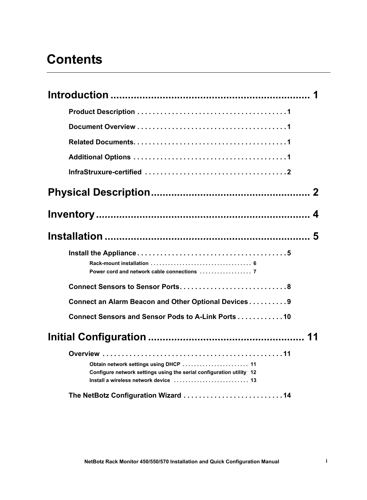### **Contents**

| Connect an Alarm Beacon and Other Optional Devices9                                                            |  |
|----------------------------------------------------------------------------------------------------------------|--|
| Connect Sensors and Sensor Pods to A-Link Ports 10                                                             |  |
|                                                                                                                |  |
| Obtain network settings using DHCP  11<br>Configure network settings using the serial configuration utility 12 |  |
|                                                                                                                |  |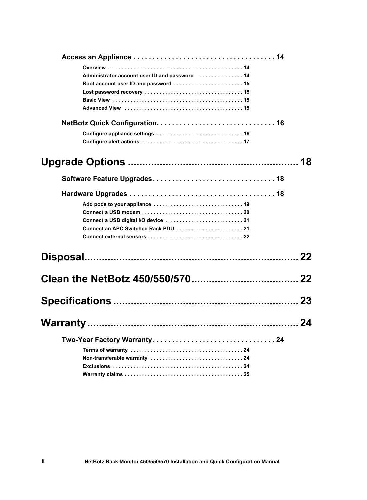| Administrator account user ID and password  14 |    |
|------------------------------------------------|----|
| Root account user ID and password  15          |    |
|                                                |    |
|                                                |    |
|                                                |    |
|                                                |    |
|                                                |    |
|                                                |    |
|                                                | 18 |
|                                                |    |
|                                                |    |
|                                                |    |
|                                                |    |
|                                                |    |
|                                                |    |
|                                                |    |
|                                                |    |
|                                                | 22 |
|                                                |    |
|                                                |    |
|                                                |    |
|                                                | 23 |
|                                                |    |
|                                                |    |
|                                                |    |
|                                                |    |
|                                                |    |
|                                                |    |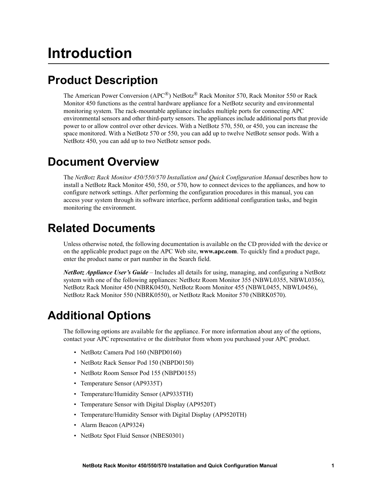## **Introduction**

### **Product Description**

The American Power Conversion (APC®) NetBotz® Rack Monitor 570, Rack Monitor 550 or Rack Monitor 450 functions as the central hardware appliance for a NetBotz security and environmental monitoring system. The rack-mountable appliance includes multiple ports for connecting APC environmental sensors and other third-party sensors. The appliances include additional ports that provide power to or allow control over other devices. With a NetBotz 570, 550, or 450, you can increase the space monitored. With a NetBotz 570 or 550, you can add up to twelve NetBotz sensor pods. With a NetBotz 450, you can add up to two NetBotz sensor pods.

### **Document Overview**

The *NetBotz Rack Monitor 450/550/570 Installation and Quick Configuration Manual* describes how to install a NetBotz Rack Monitor 450, 550, or 570, how to connect devices to the appliances, and how to configure network settings. After performing the configuration procedures in this manual, you can access your system through its software interface, perform additional configuration tasks, and begin monitoring the environment.

### **Related Documents**

Unless otherwise noted, the following documentation is available on the CD provided with the device or on the applicable product page on the APC Web site, **www.apc.com**. To quickly find a product page, enter the product name or part number in the Search field.

*NetBotz Appliance User's Guide* – Includes all details for using, managing, and configuring a NetBotz system with one of the following appliances: NetBotz Room Monitor 355 (NBWL0355, NBWL0356), NetBotz Rack Monitor 450 (NBRK0450), NetBotz Room Monitor 455 (NBWL0455, NBWL0456), NetBotz Rack Monitor 550 (NBRK0550), or NetBotz Rack Monitor 570 (NBRK0570).

### <span id="page-6-0"></span>**Additional Options**

The following options are available for the appliance. For more information about any of the options, contact your APC representative or the distributor from whom you purchased your APC product.

- NetBotz Camera Pod 160 (NBPD0160)
- NetBotz Rack Sensor Pod 150 (NBPD0150)
- NetBotz Room Sensor Pod 155 (NBPD0155)
- Temperature Sensor (AP9335T)
- Temperature/Humidity Sensor (AP9335TH)
- Temperature Sensor with Digital Display (AP9520T)
- Temperature/Humidity Sensor with Digital Display (AP9520TH)
- Alarm Beacon (AP9324)
- NetBotz Spot Fluid Sensor (NBES0301)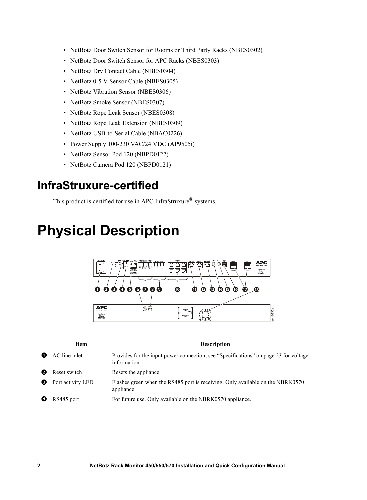- NetBotz Door Switch Sensor for Rooms or Third Party Racks (NBES0302)
- NetBotz Door Switch Sensor for APC Racks (NBES0303)
- NetBotz Dry Contact Cable (NBES0304)
- NetBotz 0-5 V Sensor Cable (NBES0305)
- NetBotz Vibration Sensor (NBES0306)
- NetBotz Smoke Sensor (NBES0307)
- NetBotz Rope Leak Sensor (NBES0308)
- NetBotz Rope Leak Extension (NBES0309)
- NetBotz USB-to-Serial Cable (NBAC0226)
- Power Supply 100-230 VAC/24 VDC (AP9505i)
- NetBotz Sensor Pod 120 (NBPD0122)
- NetBotz Camera Pod 120 (NBPD0121)

### **InfraStruxure-certified**

This product is certified for use in APC InfraStruxure® systems.

## **Physical Description**



|   | <b>Item</b>       | <b>Description</b>                                                                                   |
|---|-------------------|------------------------------------------------------------------------------------------------------|
|   | AC line inlet     | Provides for the input power connection; see "Specifications" on page 23 for voltage<br>information. |
|   | Reset switch      | Resets the appliance.                                                                                |
| € | Port activity LED | Flashes green when the RS485 port is receiving. Only available on the NBRK0570<br>appliance.         |
|   | RS485 port        | For future use. Only available on the NBRK0570 appliance.                                            |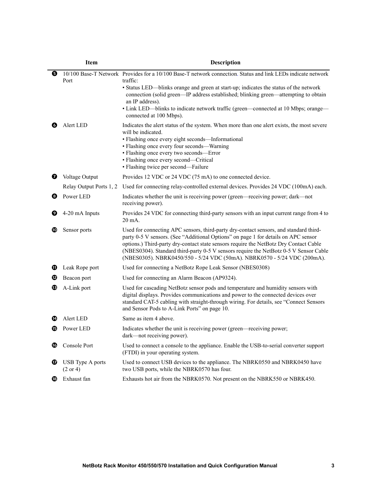|   | Item                                    | <b>Description</b>                                                                                                                                                                                                                                                                                                                                                                                                                           |
|---|-----------------------------------------|----------------------------------------------------------------------------------------------------------------------------------------------------------------------------------------------------------------------------------------------------------------------------------------------------------------------------------------------------------------------------------------------------------------------------------------------|
| Θ | Port                                    | 10/100 Base-T Network Provides for a 10/100 Base-T network connection. Status and link LEDs indicate network<br>traffic:<br>• Status LED—blinks orange and green at start-up; indicates the status of the network<br>connection (solid green—IP address established; blinking green—attempting to obtain<br>an IP address).<br>• Link LED—blinks to indicate network traffic (green—connected at 10 Mbps; orange—<br>connected at 100 Mbps). |
| Ø | Alert LED                               | Indicates the alert status of the system. When more than one alert exists, the most severe<br>will be indicated.<br>• Flashing once every eight seconds—Informational<br>• Flashing once every four seconds—Warning<br>• Flashing once every two seconds-Error<br>• Flashing once every second—Critical<br>• Flashing twice per second—Failure                                                                                               |
| ❼ | Voltage Output                          | Provides 12 VDC or 24 VDC (75 mA) to one connected device.                                                                                                                                                                                                                                                                                                                                                                                   |
|   | Relay Output Ports 1, 2                 | Used for connecting relay-controlled external devices. Provides 24 VDC (100mA) each.                                                                                                                                                                                                                                                                                                                                                         |
| ❸ | Power LED                               | Indicates whether the unit is receiving power (green—receiving power; dark—not<br>receiving power).                                                                                                                                                                                                                                                                                                                                          |
| Ø | 4-20 mA Inputs                          | Provides 24 VDC for connecting third-party sensors with an input current range from 4 to<br>20 mA.                                                                                                                                                                                                                                                                                                                                           |
| ◍ | Sensor ports                            | Used for connecting APC sensors, third-party dry-contact sensors, and standard third-<br>party 0-5 V sensors. (See "Additional Options" on page 1 for details on APC sensor<br>options.) Third-party dry-contact state sensors require the NetBotz Dry Contact Cable<br>(NBES0304). Standard third-party 0-5 V sensors require the NetBotz 0-5 V Sensor Cable<br>(NBES0305). NBRK0450/550 - 5/24 VDC (50mA). NBRK0570 - 5/24 VDC (200mA).    |
| ⊕ | Leak Rope port                          | Used for connecting a NetBotz Rope Leak Sensor (NBES0308)                                                                                                                                                                                                                                                                                                                                                                                    |
| ℗ | Beacon port                             | Used for connecting an Alarm Beacon (AP9324).                                                                                                                                                                                                                                                                                                                                                                                                |
| ® | A-Link port                             | Used for cascading NetBotz sensor pods and temperature and humidity sensors with<br>digital displays. Provides communications and power to the connected devices over<br>standard CAT-5 cabling with straight-through wiring. For details, see "Connect Sensors<br>and Sensor Pods to A-Link Ports" on page 10.                                                                                                                              |
| Ø | Alert LED                               | Same as item 4 above.                                                                                                                                                                                                                                                                                                                                                                                                                        |
| œ | Power LED                               | Indicates whether the unit is receiving power (green—receiving power;<br>dark-not receiving power).                                                                                                                                                                                                                                                                                                                                          |
| ඟ | Console Port                            | Used to connect a console to the appliance. Enable the USB-to-serial converter support<br>(FTDI) in your operating system.                                                                                                                                                                                                                                                                                                                   |
| ⊕ | USB Type A ports<br>$(2 \text{ or } 4)$ | Used to connect USB devices to the appliance. The NBRK0550 and NBRK0450 have<br>two USB ports, while the NBRK0570 has four.                                                                                                                                                                                                                                                                                                                  |
| ⊕ | Exhaust fan                             | Exhausts hot air from the NBRK0570. Not present on the NBRK550 or NBRK450.                                                                                                                                                                                                                                                                                                                                                                   |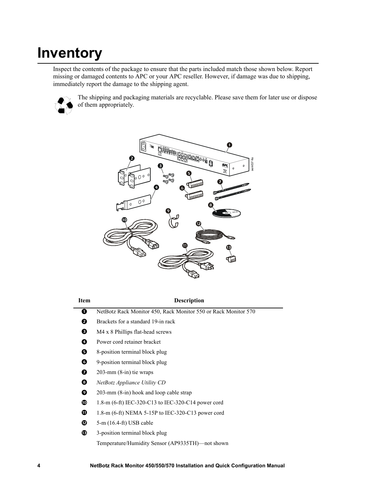## **Inventory**

Inspect the contents of the package to ensure that the parts included match those shown below. Report missing or damaged contents to APC or your APC reseller. However, if damage was due to shipping, immediately report the damage to the shipping agent.



The shipping and packaging materials are recyclable. Please save them for later use or dispose of them appropriately.



#### **Item Description**

- NetBotz Rack Monitor 450, Rack Monitor 550 or Rack Monitor 570
- **2** Brackets for a standard 19-in rack
- $\bullet$  M4 x 8 Phillips flat-head screws
- **O** Power cord retainer bracket
- **8** 8-position terminal block plug
- **9**-position terminal block plug
- $\bullet$  203-mm (8-in) tie wraps
- *NetBotz Appliance Utility CD*
- 203-mm (8-in) hook and loop cable strap
- $\Phi$  1.8-m (6-ft) IEC-320-C13 to IEC-320-C14 power cord
- $\Phi$  1.8-m (6-ft) NEMA 5-15P to IEC-320-C13 power cord
- $\Phi$  5-m (16.4-ft) USB cable
- **3**-position terminal block plug Temperature/Humidity Sensor (AP9335TH)—not shown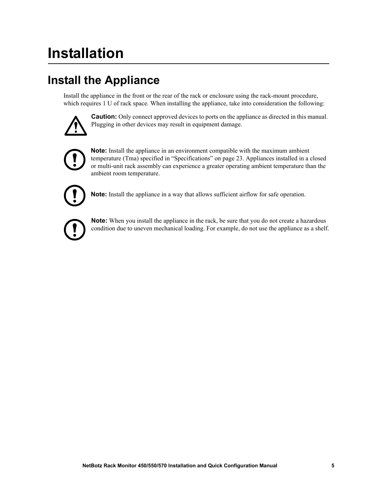## **Installation**

### **Install the Appliance**

Install the appliance in the front or the rear of the rack or enclosure using the rack-mount procedure, which requires 1 U of rack space. When installing the appliance, take into consideration the following:



**Caution:** Only connect approved devices to ports on the appliance as directed in this manual. Plugging in other devices may result in equipment damage.



**Note:** Install the appliance in an environment compatible with the maximum ambient temperature (Tma) specified in ["Specifications" on page 23](#page-28-0). Appliances installed in a closed or multi-unit rack assembly can experience a greater operating ambient temperature than the ambient room temperature.



**Note:** Install the appliance in a way that allows sufficient airflow for safe operation.



**Note:** When you install the appliance in the rack, be sure that you do not create a hazardous condition due to uneven mechanical loading. For example, do not use the appliance as a shelf.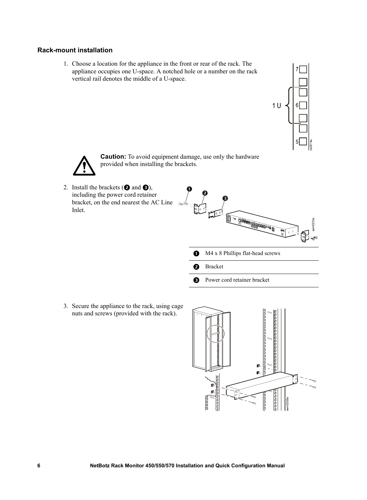#### **Rack-mount installation**

1. Choose a location for the appliance in the front or rear of the rack. The appliance occupies one U-space. A notched hole or a number on the rack vertical rail denotes the middle of a U-space.



**Caution:** To avoid equipment damage, use only the hardware provided when installing the brackets.

2. Install the brackets  $(②$  and  $③$ ), including the power cord retainer bracket, on the end nearest the AC Line Inlet.



**B** Power cord retainer bracket

3. Secure the appliance to the rack, using cage nuts and screws (provided with the rack).

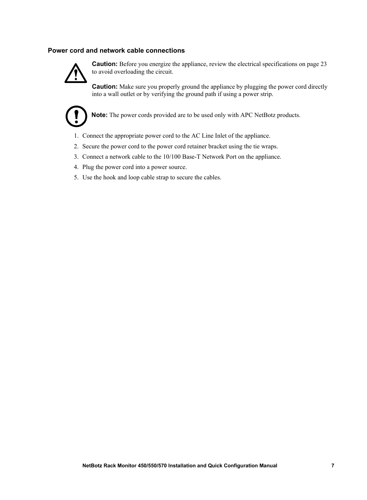#### **Power cord and network cable connections**



**Caution:** Before you energize the appliance, review the electrical specifications on [page 23](#page-28-0) to avoid overloading the circuit.

**Caution:** Make sure you properly ground the appliance by plugging the power cord directly into a wall outlet or by verifying the ground path if using a power strip.



**Note:** The power cords provided are to be used only with APC NetBotz products.

- 1. Connect the appropriate power cord to the AC Line Inlet of the appliance.
- 2. Secure the power cord to the power cord retainer bracket using the tie wraps.
- 3. Connect a network cable to the 10/100 Base-T Network Port on the appliance.
- 4. Plug the power cord into a power source.
- 5. Use the hook and loop cable strap to secure the cables.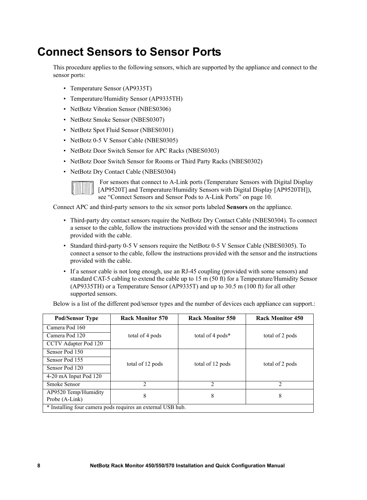### **Connect Sensors to Sensor Ports**

This procedure applies to the following sensors, which are supported by the appliance and connect to the sensor ports:

- Temperature Sensor (AP9335T)
- Temperature/Humidity Sensor (AP9335TH)
- NetBotz Vibration Sensor (NBES0306)
- NetBotz Smoke Sensor (NBES0307)
- NetBotz Spot Fluid Sensor (NBES0301)
- NetBotz 0-5 V Sensor Cable (NBES0305)
- NetBotz Door Switch Sensor for APC Racks (NBES0303)
- NetBotz Door Switch Sensor for Rooms or Third Party Racks (NBES0302)
- NetBotz Dry Contact Cable (NBES0304)

 For sensors that connect to A-Link ports (Temperature Sensors with Digital Display [AP9520T] and Temperature/Humidity Sensors with Digital Display [AP9520TH]), see ["Connect Sensors and Sensor Pods to A-Link Ports" on page 10.](#page-15-0)

Connect APC and third-party sensors to the six sensor ports labeled **Sensors** on the appliance.

- Third-party dry contact sensors require the NetBotz Dry Contact Cable (NBES0304). To connect a sensor to the cable, follow the instructions provided with the sensor and the instructions provided with the cable.
- Standard third-party 0-5 V sensors require the NetBotz 0-5 V Sensor Cable (NBES0305). To connect a sensor to the cable, follow the instructions provided with the sensor and the instructions provided with the cable.
- If a sensor cable is not long enough, use an RJ-45 coupling (provided with some sensors) and standard CAT-5 cabling to extend the cable up to 15 m (50 ft) for a Temperature/Humidity Sensor (AP9335TH) or a Temperature Sensor (AP9335T) and up to 30.5 m (100 ft) for all other supported sensors.

Below is a list of the different pod/sensor types and the number of devices each appliance can support.:

| <b>Pod/Sensor Type</b>                                      | <b>Rack Monitor 570</b> | <b>Rack Monitor 550</b> | <b>Rack Monitor 450</b> |  |
|-------------------------------------------------------------|-------------------------|-------------------------|-------------------------|--|
| Camera Pod 160                                              |                         |                         |                         |  |
| Camera Pod 120                                              | total of 4 pods         | total of 4 pods*        | total of 2 pods         |  |
| CCTV Adapter Pod 120                                        |                         |                         |                         |  |
| Sensor Pod 150                                              |                         |                         |                         |  |
| Sensor Pod 155                                              | total of 12 pods        |                         |                         |  |
| Sensor Pod 120                                              |                         | total of 12 pods        | total of 2 pods         |  |
| 4-20 mA Input Pod 120                                       |                         |                         |                         |  |
| Smoke Sensor                                                | $\mathfrak{D}$          | $\overline{2}$          | 2                       |  |
| AP9520 Temp/Humidity<br>Probe (A-Link)                      | 8                       | 8                       | 8                       |  |
| * Installing four camera pods requires an external USB hub. |                         |                         |                         |  |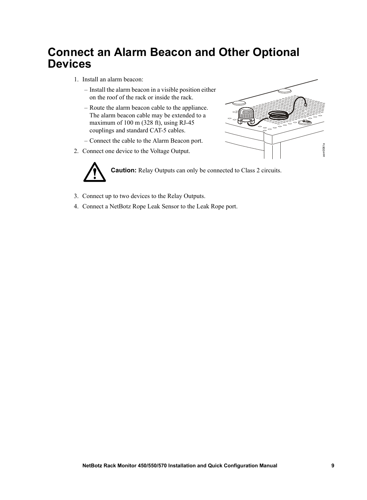### **Connect an Alarm Beacon and Other Optional Devices**

- 1. Install an alarm beacon:
	- Install the alarm beacon in a visible position either on the roof of the rack or inside the rack.
	- Route the alarm beacon cable to the appliance. The alarm beacon cable may be extended to a maximum of 100 m (328 ft), using RJ-45 couplings and standard CAT-5 cables.
	- Connect the cable to the Alarm Beacon port.
- 2. Connect one device to the Voltage Output.



**Caution:** Relay Outputs can only be connected to Class 2 circuits.

 $\geq$ 

 $em0061a$ 

- 3. Connect up to two devices to the Relay Outputs.
- 4. Connect a NetBotz Rope Leak Sensor to the Leak Rope port.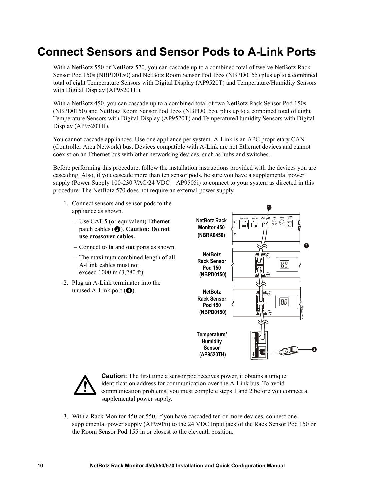### <span id="page-15-0"></span>**Connect Sensors and Sensor Pods to A-Link Ports**

With a NetBotz 550 or NetBotz 570, you can cascade up to a combined total of twelve NetBotz Rack Sensor Pod 150s (NBPD0150) and NetBotz Room Sensor Pod 155s (NBPD0155) plus up to a combined total of eight Temperature Sensors with Digital Display (AP9520T) and Temperature/Humidity Sensors with Digital Display (AP9520TH).

With a NetBotz 450, you can cascade up to a combined total of two NetBotz Rack Sensor Pod 150s (NBPD0150) and NetBotz Room Sensor Pod 155s (NBPD0155), plus up to a combined total of eight Temperature Sensors with Digital Display (AP9520T) and Temperature/Humidity Sensors with Digital Display (AP9520TH).

You cannot cascade appliances. Use one appliance per system. A-Link is an APC proprietary CAN (Controller Area Network) bus. Devices compatible with A-Link are not Ethernet devices and cannot coexist on an Ethernet bus with other networking devices, such as hubs and switches.

Before performing this procedure, follow the installation instructions provided with the devices you are cascading. Also, if you cascade more than ten sensor pods, be sure you have a supplemental power supply (Power Supply 100-230 VAC/24 VDC—AP9505i) to connect to your system as directed in this procedure. The NetBotz 570 does not require an external power supply.

- 1. Connect sensors and sensor pods to the appliance as shown.
	- Use CAT-5 (or equivalent) Ethernet patch cables ( $\bullet$ ). **Caution: Do not use crossover cables.**
	- Connect to **in** and **out** ports as shown.
	- The maximum combined length of all A-Link cables must not exceed 1000 m (3,280 ft).
- 2. Plug an A-Link terminator into the unused A-Link port  $(\bigcirc$ .





**Caution:** The first time a sensor pod receives power, it obtains a unique identification address for communication over the A-Link bus. To avoid communication problems, you must complete steps 1 and 2 before you connect a supplemental power supply.

3. With a Rack Monitor 450 or 550, if you have cascaded ten or more devices, connect one supplemental power supply (AP9505i) to the 24 VDC Input jack of the Rack Sensor Pod 150 or the Room Sensor Pod 155 in or closest to the eleventh position.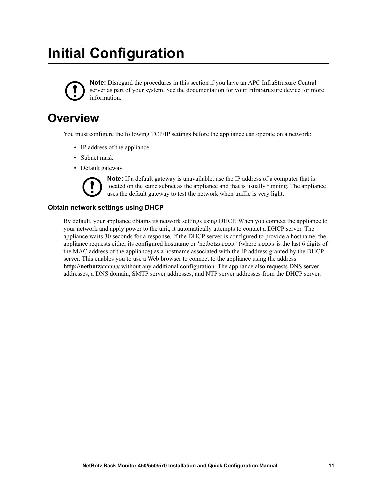## **Initial Configuration**



**Note:** Disregard the procedures in this section if you have an APC InfraStruxure Central server as part of your system. See the documentation for your InfraStruxure device for more information.

### **Overview**

You must configure the following TCP/IP settings before the appliance can operate on a network:

- IP address of the appliance
- Subnet mask
- Default gateway

**Note:** If a default gateway is unavailable, use the IP address of a computer that is located on the same subnet as the appliance and that is usually running. The appliance uses the default gateway to test the network when traffic is very light.

#### **Obtain network settings using DHCP**

By default, your appliance obtains its network settings using DHCP. When you connect the appliance to your network and apply power to the unit, it automatically attempts to contact a DHCP server. The appliance waits 30 seconds for a response. If the DHCP server is configured to provide a hostname, the appliance requests either its configured hostname or 'netbotz*xxxxxx*' (where *xxxxxx* is the last 6 digits of the MAC address of the appliance) as a hostname associated with the IP address granted by the DHCP server. This enables you to use a Web browser to connect to the appliance using the address **http://netbotz***xxxxxx* without any additional configuration. The appliance also requests DNS server addresses, a DNS domain, SMTP server addresses, and NTP server addresses from the DHCP server.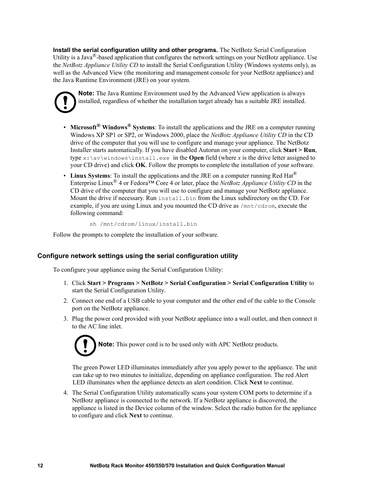**Install the serial configuration utility and other programs.** The NetBotz Serial Configuration Utility is a Java<sup>®</sup>-based application that configures the network settings on your NetBotz appliance. Use the *NetBotz Appliance Utility CD* to install the Serial Configuration Utility (Windows systems only), as well as the Advanced View (the monitoring and management console for your NetBotz appliance) and the Java Runtime Environment (JRE) on your system.

**Note:** The Java Runtime Environment used by the Advanced View application is always installed, regardless of whether the installation target already has a suitable JRE installed.

- **Microsoft® Windows® Systems**: To install the applications and the JRE on a computer running Windows XP SP1 or SP2, or Windows 2000, place the *NetBotz Appliance Utility CD* in the CD drive of the computer that you will use to configure and manage your appliance. The NetBotz Installer starts automatically. If you have disabled Autorun on your computer, click **Start > Run**, type  $x:\a \vee \text{windows}\in \text{R}$ . exe in the **Open** field (where *x* is the drive letter assigned to your CD drive) and click **OK**. Follow the prompts to complete the installation of your software.
- Linux Systems: To install the applications and the JRE on a computer running Red Hat<sup>®</sup> Enterprise Linux® 4 or Fedora™ Core 4 or later, place the *NetBotz Appliance Utility CD* in the CD drive of the computer that you will use to configure and manage your NetBotz appliance. Mount the drive if necessary. Run install.bin from the Linux subdirectory on the CD. For example, if you are using Linux and you mounted the CD drive as /mnt/cdrom, execute the following command:

sh /mnt/cdrom/linux/install.bin

Follow the prompts to complete the installation of your software.

#### **Configure network settings using the serial configuration utility**

To configure your appliance using the Serial Configuration Utility:

- 1. Click **Start > Programs > NetBotz > Serial Configuration > Serial Configuration Utility** to start the Serial Configuration Utility.
- 2. Connect one end of a USB cable to your computer and the other end of the cable to the Console port on the NetBotz appliance.
- 3. Plug the power cord provided with your NetBotz appliance into a wall outlet, and then connect it to the AC line inlet.



The green Power LED illuminates immediately after you apply power to the appliance. The unit can take up to two minutes to initialize, depending on appliance configuration. The red Alert LED illuminates when the appliance detects an alert condition. Click **Next** to continue.

4. The Serial Configuration Utility automatically scans your system COM ports to determine if a NetBotz appliance is connected to the network. If a NetBotz appliance is discovered, the appliance is listed in the Device column of the window. Select the radio button for the appliance to configure and click **Next** to continue.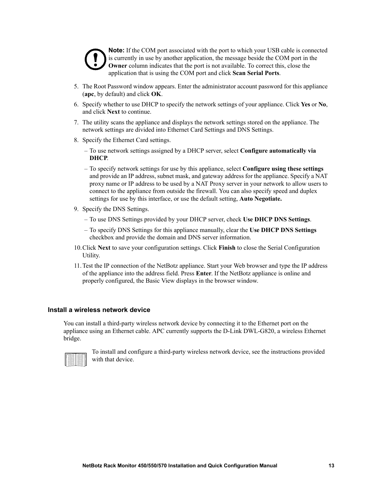

**Note:** If the COM port associated with the port to which your USB cable is connected is currently in use by another application, the message beside the COM port in the **Owner** column indicates that the port is not available. To correct this, close the application that is using the COM port and click **Scan Serial Ports**.

- 5. The Root Password window appears. Enter the administrator account password for this appliance (**apc**, by default) and click **OK**.
- 6. Specify whether to use DHCP to specify the network settings of your appliance. Click **Yes** or **No**, and click **Next** to continue.
- 7. The utility scans the appliance and displays the network settings stored on the appliance. The network settings are divided into Ethernet Card Settings and DNS Settings.
- 8. Specify the Ethernet Card settings.
	- To use network settings assigned by a DHCP server, select **Configure automatically via DHCP**.
	- To specify network settings for use by this appliance, select **Configure using these settings**  and provide an IP address, subnet mask, and gateway address for the appliance. Specify a NAT proxy name or IP address to be used by a NAT Proxy server in your network to allow users to connect to the appliance from outside the firewall. You can also specify speed and duplex settings for use by this interface, or use the default setting, **Auto Negotiate.**
- 9. Specify the DNS Settings.
	- To use DNS Settings provided by your DHCP server, check **Use DHCP DNS Settings**.
	- To specify DNS Settings for this appliance manually, clear the **Use DHCP DNS Settings**  checkbox and provide the domain and DNS server information.
- 10.Click **Next** to save your configuration settings. Click **Finish** to close the Serial Configuration Utility.
- 11.Test the IP connection of the NetBotz appliance. Start your Web browser and type the IP address of the appliance into the address field. Press **Enter**. If the NetBotz appliance is online and properly configured, the Basic View displays in the browser window.

#### **Install a wireless network device**

You can install a third-party wireless network device by connecting it to the Ethernet port on the appliance using an Ethernet cable. APC currently supports the D-Link DWL-G820, a wireless Ethernet bridge.



To install and configure a third-party wireless network device, see the instructions provided with that device.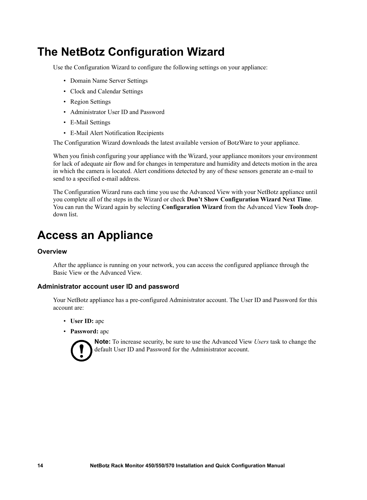### **The NetBotz Configuration Wizard**

Use the Configuration Wizard to configure the following settings on your appliance:

- Domain Name Server Settings
- Clock and Calendar Settings
- Region Settings
- Administrator User ID and Password
- E-Mail Settings
- E-Mail Alert Notification Recipients

The Configuration Wizard downloads the latest available version of BotzWare to your appliance.

When you finish configuring your appliance with the Wizard, your appliance monitors your environment for lack of adequate air flow and for changes in temperature and humidity and detects motion in the area in which the camera is located. Alert conditions detected by any of these sensors generate an e-mail to send to a specified e-mail address.

The Configuration Wizard runs each time you use the Advanced View with your NetBotz appliance until you complete all of the steps in the Wizard or check **Don't Show Configuration Wizard Next Time**. You can run the Wizard again by selecting **Configuration Wizard** from the Advanced View **Tools** dropdown list.

### **Access an Appliance**

#### **Overview**

After the appliance is running on your network, you can access the configured appliance through the Basic View or the Advanced View.

#### **Administrator account user ID and password**

Your NetBotz appliance has a pre-configured Administrator account. The User ID and Password for this account are:

- **User ID:** apc
- **Password:** apc



**Note:** To increase security, be sure to use the Advanced View *Users* task to change the default User ID and Password for the Administrator account.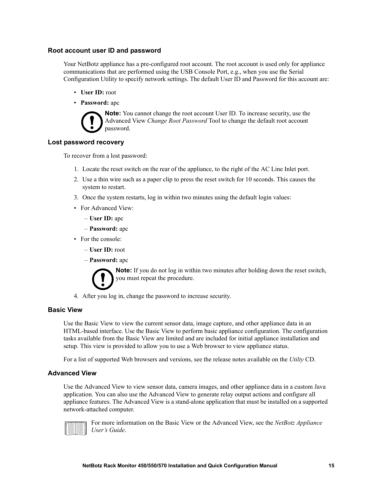#### **Root account user ID and password**

Your NetBotz appliance has a pre-configured root account. The root account is used only for appliance communications that are performed using the USB Console Port, e.g., when you use the Serial Configuration Utility to specify network settings. The default User ID and Password for this account are:

- **User ID:** root
- **Password:** apc



**Note:** You cannot change the root account User ID. To increase security, use the Advanced View *Change Root Password* Tool to change the default root account password.

#### **Lost password recovery**

To recover from a lost password:

- 1. Locate the reset switch on the rear of the appliance, to the right of the AC Line Inlet port.
- 2. Use a thin wire such as a paper clip to press the reset switch for 10 seconds. This causes the system to restart.
- 3. Once the system restarts, log in within two minutes using the default login values:
- For Advanced View:
	- **User ID:** apc
	- **Password:** apc
- For the console:
	- **User ID:** root
	- **Password:** apc

**Note:** If you do not log in within two minutes after holding down the reset switch, you must repeat the procedure.

4. After you log in, change the password to increase security.

#### **Basic View**

Use the Basic View to view the current sensor data, image capture, and other appliance data in an HTML-based interface. Use the Basic View to perform basic appliance configuration. The configuration tasks available from the Basic View are limited and are included for initial appliance installation and setup. This view is provided to allow you to use a Web browser to view appliance status.

For a list of supported Web browsers and versions, see the release notes available on the *Utilty* CD.

#### **Advanced View**

Use the Advanced View to view sensor data, camera images, and other appliance data in a custom Java application. You can also use the Advanced View to generate relay output actions and configure all appliance features. The Advanced View is a stand-alone application that must be installed on a supported network-attached computer.



For more information on the Basic View or the Advanced View, see the *NetBotz Appliance User's Guide*.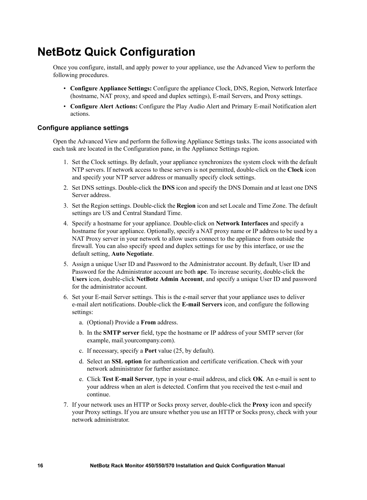### **NetBotz Quick Configuration**

Once you configure, install, and apply power to your appliance, use the Advanced View to perform the following procedures.

- **Configure Appliance Settings:** Configure the appliance Clock, DNS, Region, Network Interface (hostname, NAT proxy, and speed and duplex settings), E-mail Servers, and Proxy settings.
- **Configure Alert Actions:** Configure the Play Audio Alert and Primary E-mail Notification alert actions.

#### **Configure appliance settings**

Open the Advanced View and perform the following Appliance Settings tasks. The icons associated with each task are located in the Configuration pane, in the Appliance Settings region.

- 1. Set the Clock settings. By default, your appliance synchronizes the system clock with the default NTP servers. If network access to these servers is not permitted, double-click on the **Clock** icon and specify your NTP server address or manually specify clock settings.
- 2. Set DNS settings. Double-click the **DNS** icon and specify the DNS Domain and at least one DNS Server address.
- 3. Set the Region settings. Double-click the **Region** icon and set Locale and Time Zone. The default settings are US and Central Standard Time.
- 4. Specify a hostname for your appliance. Double-click on **Network Interfaces** and specify a hostname for your appliance. Optionally, specify a NAT proxy name or IP address to be used by a NAT Proxy server in your network to allow users connect to the appliance from outside the firewall. You can also specify speed and duplex settings for use by this interface, or use the default setting, **Auto Negotiate**.
- 5. Assign a unique User ID and Password to the Administrator account. By default, User ID and Password for the Administrator account are both **apc**. To increase security, double-click the **Users** icon, double-click **NetBotz Admin Account**, and specify a unique User ID and password for the administrator account.
- 6. Set your E-mail Server settings. This is the e-mail server that your appliance uses to deliver e-mail alert notifications. Double-click the **E-mail Servers** icon, and configure the following settings:
	- a. (Optional) Provide a **From** address.
	- b. In the **SMTP server** field, type the hostname or IP address of your SMTP server (for example, mail.yourcompany.com).
	- c. If necessary, specify a **Port** value (25, by default).
	- d. Select an **SSL option** for authentication and certificate verification. Check with your network administrator for further assistance.
	- e. Click **Test E-mail Server**, type in your e-mail address, and click **OK**. An e-mail is sent to your address when an alert is detected. Confirm that you received the test e-mail and continue.
- 7. If your network uses an HTTP or Socks proxy server, double-click the **Proxy** icon and specify your Proxy settings. If you are unsure whether you use an HTTP or Socks proxy, check with your network administrator.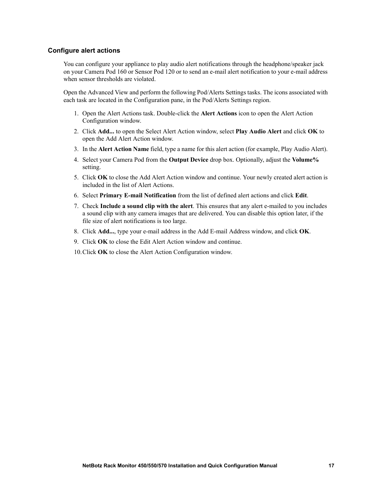#### **Configure alert actions**

You can configure your appliance to play audio alert notifications through the headphone/speaker jack on your Camera Pod 160 or Sensor Pod 120 or to send an e-mail alert notification to your e-mail address when sensor thresholds are violated.

Open the Advanced View and perform the following Pod/Alerts Settings tasks. The icons associated with each task are located in the Configuration pane, in the Pod/Alerts Settings region.

- 1. Open the Alert Actions task. Double-click the **Alert Actions** icon to open the Alert Action Configuration window.
- 2. Click **Add...** to open the Select Alert Action window, select **Play Audio Alert** and click **OK** to open the Add Alert Action window.
- 3. In the **Alert Action Name** field, type a name for this alert action (for example, Play Audio Alert).
- 4. Select your Camera Pod from the **Output Device** drop box. Optionally, adjust the **Volume%** setting.
- 5. Click **OK** to close the Add Alert Action window and continue. Your newly created alert action is included in the list of Alert Actions.
- 6. Select **Primary E-mail Notification** from the list of defined alert actions and click **Edit**.
- 7. Check **Include a sound clip with the alert**. This ensures that any alert e-mailed to you includes a sound clip with any camera images that are delivered. You can disable this option later, if the file size of alert notifications is too large.
- 8. Click **Add...**, type your e-mail address in the Add E-mail Address window, and click **OK**.
- 9. Click **OK** to close the Edit Alert Action window and continue.

10.Click **OK** to close the Alert Action Configuration window.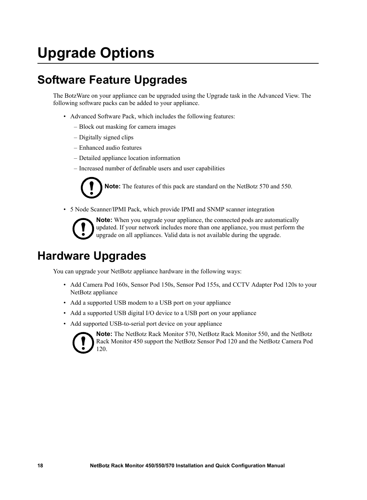## **Upgrade Options**

### **Software Feature Upgrades**

The BotzWare on your appliance can be upgraded using the Upgrade task in the Advanced View. The following software packs can be added to your appliance.

- Advanced Software Pack, which includes the following features:
	- Block out masking for camera images
	- Digitally signed clips
	- Enhanced audio features
	- Detailed appliance location information
	- Increased number of definable users and user capabilities

**Note:** The features of this pack are standard on the NetBotz 570 and 550.

• 5 Node Scanner/IPMI Pack, which provide IPMI and SNMP scanner integration



**Note:** When you upgrade your appliance, the connected pods are automatically updated. If your network includes more than one appliance, you must perform the upgrade on all appliances. Valid data is not available during the upgrade.

### **Hardware Upgrades**

You can upgrade your NetBotz appliance hardware in the following ways:

- Add Camera Pod 160s, Sensor Pod 150s, Sensor Pod 155s, and CCTV Adapter Pod 120s to your NetBotz appliance
- Add a supported USB modem to a USB port on your appliance
- Add a supported USB digital I/O device to a USB port on your appliance
- Add supported USB-to-serial port device on your appliance



**Note:** The NetBotz Rack Monitor 570, NetBotz Rack Monitor 550, and the NetBotz Rack Monitor 450 support the NetBotz Sensor Pod 120 and the NetBotz Camera Pod 120.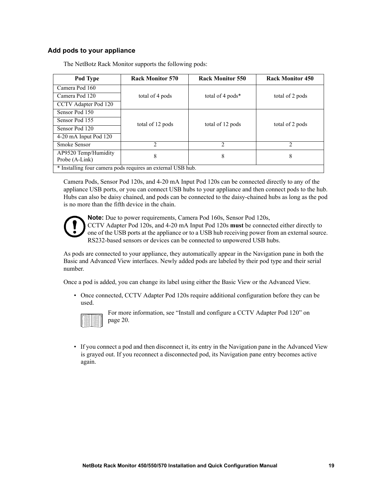#### **Add pods to your appliance**

| Pod Type                                                    | <b>Rack Monitor 570</b> | <b>Rack Monitor 550</b> | <b>Rack Monitor 450</b> |
|-------------------------------------------------------------|-------------------------|-------------------------|-------------------------|
| Camera Pod 160                                              |                         |                         |                         |
| Camera Pod 120                                              | total of 4 pods         | total of 4 pods*        | total of 2 pods         |
| CCTV Adapter Pod 120                                        |                         |                         |                         |
| Sensor Pod 150                                              |                         |                         |                         |
| Sensor Pod 155                                              | total of 12 pods        | total of 12 pods        | total of 2 pods         |
| Sensor Pod 120                                              |                         |                         |                         |
| 4-20 mA Input Pod 120                                       |                         |                         |                         |
| <b>Smoke Sensor</b>                                         | $\mathfrak{D}$          | $\overline{2}$          | $\mathfrak{D}$          |
| AP9520 Temp/Humidity<br>Probe (A-Link)                      | 8                       | 8                       | 8                       |
| * Installing four camera pods requires an external USB hub. |                         |                         |                         |

The NetBotz Rack Monitor supports the following pods:

Camera Pods, Sensor Pod 120s, and 4-20 mA Input Pod 120s can be connected directly to any of the appliance USB ports, or you can connect USB hubs to your appliance and then connect pods to the hub. Hubs can also be daisy chained, and pods can be connected to the daisy-chained hubs as long as the pod is no more than the fifth device in the chain.



**Note:** Due to power requirements, Camera Pod 160s, Sensor Pod 120s,

CCTV Adapter Pod 120s, and 4-20 mA Input Pod 120s **must** be connected either directly to one of the USB ports at the appliance or to a USB hub receiving power from an external source. RS232-based sensors or devices can be connected to unpowered USB hubs.

As pods are connected to your appliance, they automatically appear in the Navigation pane in both the Basic and Advanced View interfaces. Newly added pods are labeled by their pod type and their serial number.

Once a pod is added, you can change its label using either the Basic View or the Advanced View.

• Once connected, CCTV Adapter Pod 120s require additional configuration before they can be used.



For more information, see ["Install and configure a CCTV Adapter Pod 120" on](#page-25-0)  [page 20.](#page-25-0)

• If you connect a pod and then disconnect it, its entry in the Navigation pane in the Advanced View is grayed out. If you reconnect a disconnected pod, its Navigation pane entry becomes active again.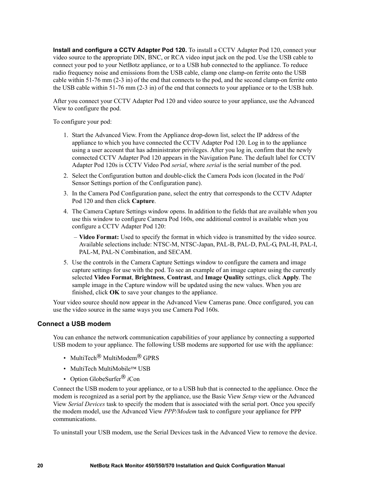<span id="page-25-0"></span>**Install and configure a CCTV Adapter Pod 120.** To install a CCTV Adapter Pod 120, connect your video source to the appropriate DIN, BNC, or RCA video input jack on the pod. Use the USB cable to connect your pod to your NetBotz appliance, or to a USB hub connected to the appliance. To reduce radio frequency noise and emissions from the USB cable, clamp one clamp-on ferrite onto the USB cable within 51-76 mm (2-3 in) of the end that connects to the pod, and the second clamp-on ferrite onto the USB cable within 51-76 mm (2-3 in) of the end that connects to your appliance or to the USB hub.

After you connect your CCTV Adapter Pod 120 and video source to your appliance, use the Advanced View to configure the pod.

To configure your pod:

- 1. Start the Advanced View. From the Appliance drop-down list, select the IP address of the appliance to which you have connected the CCTV Adapter Pod 120. Log in to the appliance using a user account that has administrator privileges. After you log in, confirm that the newly connected CCTV Adapter Pod 120 appears in the Navigation Pane. The default label for CCTV Adapter Pod 120s is CCTV Video Pod *serial*, where *serial* is the serial number of the pod.
- 2. Select the Configuration button and double-click the Camera Pods icon (located in the Pod/ Sensor Settings portion of the Configuration pane).
- 3. In the Camera Pod Configuration pane, select the entry that corresponds to the CCTV Adapter Pod 120 and then click **Capture**.
- 4. The Camera Capture Settings window opens. In addition to the fields that are available when you use this window to configure Camera Pod 160s, one additional control is available when you configure a CCTV Adapter Pod 120:
	- **Video Format:** Used to specify the format in which video is transmitted by the video source. Available selections include: NTSC-M, NTSC-Japan, PAL-B, PAL-D, PAL-G, PAL-H, PAL-I, PAL-M, PAL-N Combination, and SECAM.
- 5. Use the controls in the Camera Capture Settings window to configure the camera and image capture settings for use with the pod. To see an example of an image capture using the currently selected **Video Format**, **Brightness**, **Contrast**, and **Image Quality** settings, click **Apply**. The sample image in the Capture window will be updated using the new values. When you are finished, click **OK** to save your changes to the appliance.

Your video source should now appear in the Advanced View Cameras pane. Once configured, you can use the video source in the same ways you use Camera Pod 160s.

#### **Connect a USB modem**

You can enhance the network communication capabilities of your appliance by connecting a supported USB modem to your appliance. The following USB modems are supported for use with the appliance:

- MultiTech<sup>®</sup> MultiModem<sup>®</sup> GPRS
- MultiTech MultiMobile™ USB
- Option GlobeSurfer® *i*Con

Connect the USB modem to your appliance, or to a USB hub that is connected to the appliance. Once the modem is recognized as a serial port by the appliance, use the Basic View *Setup* view or the Advanced View *Serial Devices* task to specify the modem that is associated with the serial port. Once you specify the modem model, use the Advanced View *PPP/Modem* task to configure your appliance for PPP communications.

To uninstall your USB modem, use the Serial Devices task in the Advanced View to remove the device.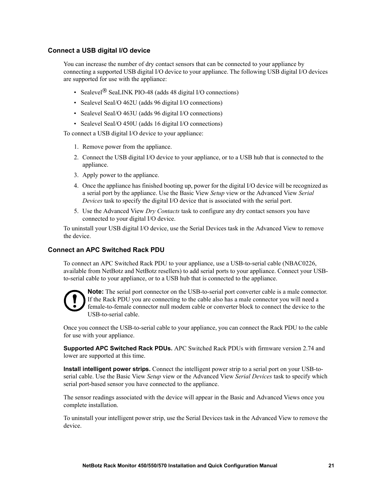#### **Connect a USB digital I/O device**

You can increase the number of dry contact sensors that can be connected to your appliance by connecting a supported USB digital I/O device to your appliance. The following USB digital I/O devices are supported for use with the appliance:

- Sealevel<sup>®</sup> SeaLINK PIO-48 (adds 48 digital I/O connections)
- Sealevel SeaI/O 462U (adds 96 digital I/O connections)
- Sealevel SeaI/O 463U (adds 96 digital I/O connections)
- Sealevel SeaI/O 450U (adds 16 digital I/O connections)

To connect a USB digital I/O device to your appliance:

- 1. Remove power from the appliance.
- 2. Connect the USB digital I/O device to your appliance, or to a USB hub that is connected to the appliance.
- 3. Apply power to the appliance.
- 4. Once the appliance has finished booting up, power for the digital I/O device will be recognized as a serial port by the appliance. Use the Basic View *Setup* view or the Advanced View *Serial Devices* task to specify the digital I/O device that is associated with the serial port.
- 5. Use the Advanced View *Dry Contacts* task to configure any dry contact sensors you have connected to your digital I/O device.

To uninstall your USB digital I/O device, use the Serial Devices task in the Advanced View to remove the device.

#### **Connect an APC Switched Rack PDU**

To connect an APC Switched Rack PDU to your appliance, use a USB-to-serial cable (NBAC0226, available from NetBotz and NetBotz resellers) to add serial ports to your appliance. Connect your USBto-serial cable to your appliance, or to a USB hub that is connected to the appliance.



**Note:** The serial port connector on the USB-to-serial port converter cable is a male connector. If the Rack PDU you are connecting to the cable also has a male connector you will need a female-to-female connector null modem cable or converter block to connect the device to the USB-to-serial cable.

Once you connect the USB-to-serial cable to your appliance, you can connect the Rack PDU to the cable for use with your appliance.

**Supported APC Switched Rack PDUs.** APC Switched Rack PDUs with firmware version 2.74 and lower are supported at this time.

**Install intelligent power strips.** Connect the intelligent power strip to a serial port on your USB-toserial cable. Use the Basic View *Setup* view or the Advanced View *Serial Devices* task to specify which serial port-based sensor you have connected to the appliance.

The sensor readings associated with the device will appear in the Basic and Advanced Views once you complete installation.

To uninstall your intelligent power strip, use the Serial Devices task in the Advanced View to remove the device.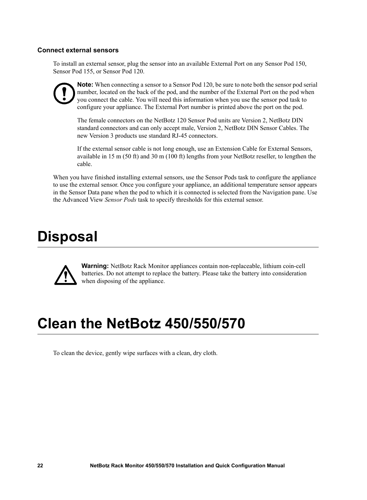#### **Connect external sensors**

To install an external sensor, plug the sensor into an available External Port on any Sensor Pod 150, Sensor Pod 155, or Sensor Pod 120.

**Note:** When connecting a sensor to a Sensor Pod 120, be sure to note both the sensor pod serial number, located on the back of the pod, and the number of the External Port on the pod when you connect the cable. You will need this information when you use the sensor pod task to configure your appliance. The External Port number is printed above the port on the pod.

The female connectors on the NetBotz 120 Sensor Pod units are Version 2, NetBotz DIN standard connectors and can only accept male, Version 2, NetBotz DIN Sensor Cables. The new Version 3 products use standard RJ-45 connectors.

If the external sensor cable is not long enough, use an Extension Cable for External Sensors, available in 15 m (50 ft) and 30 m (100 ft) lengths from your NetBotz reseller, to lengthen the cable.

When you have finished installing external sensors, use the Sensor Pods task to configure the appliance to use the external sensor. Once you configure your appliance, an additional temperature sensor appears in the Sensor Data pane when the pod to which it is connected is selected from the Navigation pane. Use the Advanced View *Sensor Pods* task to specify thresholds for this external sensor.

## **Disposal**



**Warning:** NetBotz Rack Monitor appliances contain non-replaceable, lithium coin-cell batteries. Do not attempt to replace the battery. Please take the battery into consideration when disposing of the appliance.

## **Clean the NetBotz 450/550/570**

To clean the device, gently wipe surfaces with a clean, dry cloth.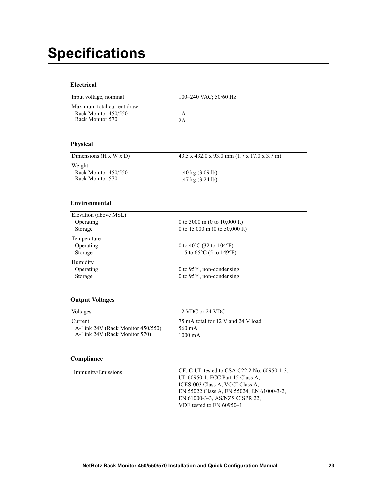## <span id="page-28-0"></span>**Specifications**

#### **Electrical**

| Input voltage, nominal                                                 | 100-240 VAC; 50/60 Hz                                                                |
|------------------------------------------------------------------------|--------------------------------------------------------------------------------------|
| Maximum total current draw<br>Rack Monitor 450/550<br>Rack Monitor 570 | 1A<br>2A                                                                             |
| <b>Physical</b>                                                        |                                                                                      |
| Dimensions (H x W x D)                                                 | 43.5 x 432.0 x 93.0 mm (1.7 x 17.0 x 3.7 in)                                         |
| Weight<br>Rack Monitor 450/550<br>Rack Monitor 570                     | $1.40 \text{ kg} (3.09 \text{ lb})$<br>1.47 kg (3.24 lb)                             |
| <b>Environmental</b>                                                   |                                                                                      |
| Elevation (above MSL)<br>Operating<br>Storage                          | 0 to 3000 m (0 to 10,000 ft)<br>0 to 15 000 m (0 to 50,000 ft)                       |
| Temperature<br>Operating<br>Storage                                    | 0 to 40 $\rm{^{\circ}C}$ (32 to 104 $\rm{^{\circ}F}$ )<br>$-15$ to 65°C (5 to 149°F) |
| Humidity<br>Operating<br>Storage                                       | 0 to 95%, non-condensing<br>0 to 95%, non-condensing                                 |

#### **Output Voltages**

| 75 mA total for 12 V and 24 V load<br>Current<br>A-Link 24V (Rack Monitor 450/550)<br>560 mA | Voltages                      | 12 VDC or 24 VDC  |
|----------------------------------------------------------------------------------------------|-------------------------------|-------------------|
|                                                                                              | A-Link 24V (Rack Monitor 570) | $1000 \text{ mA}$ |

#### **Compliance**

Immunity/Emissions CE, C-UL tested to CSA C22.2 No. 60950-1-3, UL 60950-1, FCC Part 15 Class A, ICES-003 Class A, VCCI Class A, EN 55022 Class A, EN 55024, EN 61000-3-2, EN 61000-3-3, AS/NZS CISPR 22, VDE tested to EN 60950–1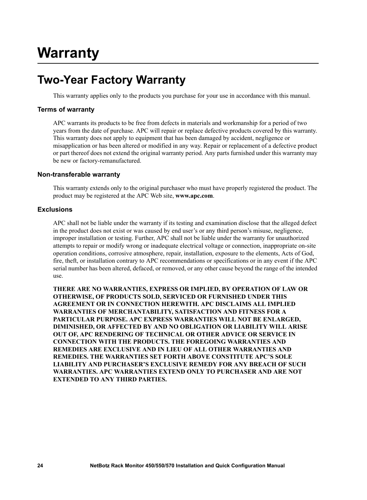### **Two-Year Factory Warranty**

This warranty applies only to the products you purchase for your use in accordance with this manual.

#### **Terms of warranty**

APC warrants its products to be free from defects in materials and workmanship for a period of two years from the date of purchase. APC will repair or replace defective products covered by this warranty. This warranty does not apply to equipment that has been damaged by accident, negligence or misapplication or has been altered or modified in any way. Repair or replacement of a defective product or part thereof does not extend the original warranty period. Any parts furnished under this warranty may be new or factory-remanufactured.

#### **Non-transferable warranty**

[This warranty extends only to the original purchaser who must have properly registered the product. The](http://www.apc.com)  [product may be registered at the APC Web site,](http://www.apc.com) **www.apc.com**.

#### **Exclusions**

APC shall not be liable under the warranty if its testing and examination disclose that the alleged defect in the product does not exist or was caused by end user's or any third person's misuse, negligence, improper installation or testing. Further, APC shall not be liable under the warranty for unauthorized attempts to repair or modify wrong or inadequate electrical voltage or connection, inappropriate on-site operation conditions, corrosive atmosphere, repair, installation, exposure to the elements, Acts of God, fire, theft, or installation contrary to APC recommendations or specifications or in any event if the APC serial number has been altered, defaced, or removed, or any other cause beyond the range of the intended use.

**THERE ARE NO WARRANTIES, EXPRESS OR IMPLIED, BY OPERATION OF LAW OR OTHERWISE, OF PRODUCTS SOLD, SERVICED OR FURNISHED UNDER THIS AGREEMENT OR IN CONNECTION HEREWITH. APC DISCLAIMS ALL IMPLIED WARRANTIES OF MERCHANTABILITY, SATISFACTION AND FITNESS FOR A PARTICULAR PURPOSE. APC EXPRESS WARRANTIES WILL NOT BE ENLARGED, DIMINISHED, OR AFFECTED BY AND NO OBLIGATION OR LIABILITY WILL ARISE OUT OF, APC RENDERING OF TECHNICAL OR OTHER ADVICE OR SERVICE IN CONNECTION WITH THE PRODUCTS. THE FOREGOING WARRANTIES AND REMEDIES ARE EXCLUSIVE AND IN LIEU OF ALL OTHER WARRANTIES AND REMEDIES. THE WARRANTIES SET FORTH ABOVE CONSTITUTE APC'S SOLE LIABILITY AND PURCHASER'S EXCLUSIVE REMEDY FOR ANY BREACH OF SUCH WARRANTIES. APC WARRANTIES EXTEND ONLY TO PURCHASER AND ARE NOT EXTENDED TO ANY THIRD PARTIES.**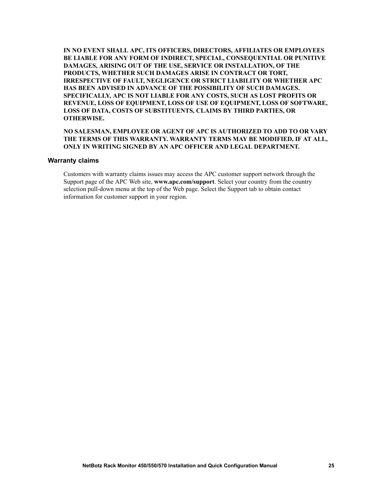**IN NO EVENT SHALL APC, ITS OFFICERS, DIRECTORS, AFFILIATES OR EMPLOYEES BE LIABLE FOR ANY FORM OF INDIRECT, SPECIAL, CONSEQUENTIAL OR PUNITIVE DAMAGES, ARISING OUT OF THE USE, SERVICE OR INSTALLATION, OF THE PRODUCTS, WHETHER SUCH DAMAGES ARISE IN CONTRACT OR TORT, IRRESPECTIVE OF FAULT, NEGLIGENCE OR STRICT LIABILITY OR WHETHER APC HAS BEEN ADVISED IN ADVANCE OF THE POSSIBILITY OF SUCH DAMAGES. SPECIFICALLY, APC IS NOT LIABLE FOR ANY COSTS, SUCH AS LOST PROFITS OR REVENUE, LOSS OF EQUIPMENT, LOSS OF USE OF EQUIPMENT, LOSS OF SOFTWARE, LOSS OF DATA, COSTS OF SUBSTITUENTS, CLAIMS BY THIRD PARTIES, OR OTHERWISE.**

#### **NO SALESMAN, EMPLOYEE OR AGENT OF APC IS AUTHORIZED TO ADD TO OR VARY THE TERMS OF THIS WARRANTY. WARRANTY TERMS MAY BE MODIFIED, IF AT ALL, ONLY IN WRITING SIGNED BY AN APC OFFICER AND LEGAL DEPARTMENT.**

#### **Warranty claims**

[Customers with warranty claims issues may access the APC customer support network through the](http://www.apc.com/support)  [Support page of the APC Web site,](http://www.apc.com/support) **www.apc.com/support**. Select your country from the country selection pull-down menu at the top of the Web page. Select the Support tab to obtain contact information for customer support in your region.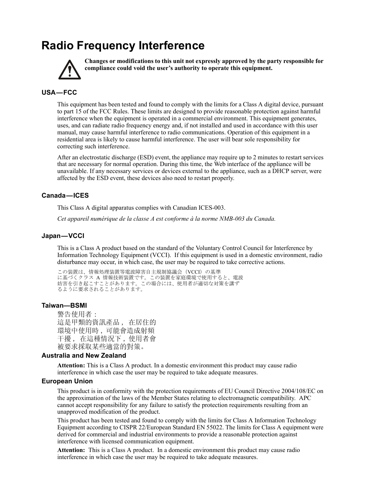### <span id="page-32-0"></span>**Radio Frequency Interference**



**Changes or modifications to this unit not expressly approved by the party responsible for compliance could void the user's authority to operate this equipment.**

### <span id="page-32-1"></span>**USA—FCC**

This equipment has been tested and found to comply with the limits for a Class A digital device, pursuant to part 15 of the FCC Rules. These limits are designed to provide reasonable protection against harmful interference when the equipment is operated in a commercial environment. This equipment generates, uses, and can radiate radio frequency energy and, if not installed and used in accordance with this user manual, may cause harmful interference to radio communications. Operation of this equipment in a residential area is likely to cause harmful interference. The user will bear sole responsibility for correcting such interference.

After an electrostatic discharge (ESD) event, the appliance may require up to 2 minutes to restart services that are necessary for normal operation. During this time, the Web interface of the appliance will be unavailable. If any necessary services or devices external to the appliance, such as a DHCP server, were affected by the ESD event, these devices also need to restart properly.

#### <span id="page-32-2"></span>**Canada—ICES**

This Class A digital apparatus complies with Canadian ICES-003.

*Cet appareil numérique de la classe A est conforme à la norme NMB-003 du Canada.*

#### <span id="page-32-3"></span>**Japan—VCCI**

This is a Class A product based on the standard of the Voluntary Control Council for Interference by Information Technology Equipment (VCCI). If this equipment is used in a domestic environment, radio disturbance may occur, in which case, the user may be required to take corrective actions.

この装置は、情報処理装置等電波障害自主規制協議会(VCCI)の基準 に基づくクラス A 情報技術装置です。この装置を家庭環境で使用すると、電波 妨害を引き起こすことがあります。この場合には、使用者が適切な対策を講ず るように要求されることがあります。

#### <span id="page-32-4"></span>**Taiwan—BSMI**

警告使用者 : 這是甲類的資訊產品 , 在居住的 環境中使用時 , 可能會造成射頻 干擾 , 在這種情況下 , 使用者會 被要求採取某些適當的對策。

#### <span id="page-32-5"></span>**Australia and New Zealand**

**Attention:** This is a Class A product. In a domestic environment this product may cause radio interference in which case the user may be required to take adequate measures.

#### <span id="page-32-6"></span>**European Union**

This product is in conformity with the protection requirements of EU Council Directive 2004/108/EC on the approximation of the laws of the Member States relating to electromagnetic compatibility. APC cannot accept responsibility for any failure to satisfy the protection requirements resulting from an unapproved modification of the product.

This product has been tested and found to comply with the limits for Class A Information Technology Equipment according to CISPR 22/European Standard EN 55022. The limits for Class A equipment were derived for commercial and industrial environments to provide a reasonable protection against interference with licensed communication equipment.

**Attention:** This is a Class A product. In a domestic environment this product may cause radio interference in which case the user may be required to take adequate measures.